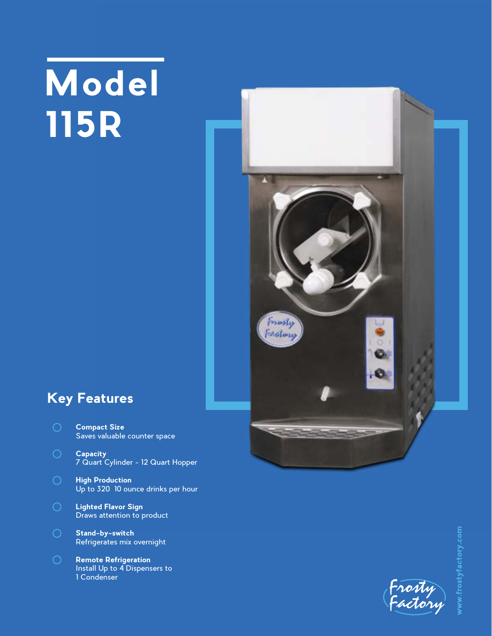## **Model 115R**



## **Key Features**

- **Compact Size** Saves valuable counter space
- **Capacity** 7 Quart Cylinder - 12 Quart Hopper
- **High Production** Up to 320 10 ounce drinks per hour
- **Lighted Flavor Sign** Draws attention to product
- **Stand-by-switch** Refrigerates mix overnight
- **Remote Refrigeration** Install Up to 4 Dispensers to 1 Condenser